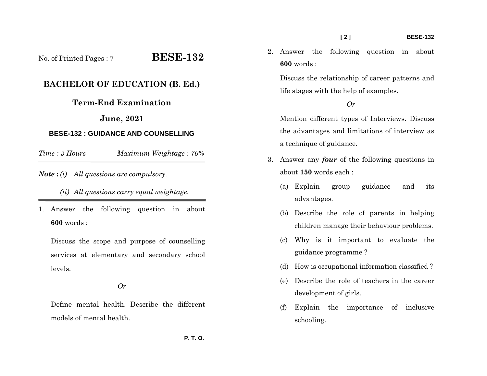No. of Printed Pages : 7 **BESE-132**

# **BACHELOR OF EDUCATION (B. Ed.)**

# **Term-End Examination**

## **June, 2021**

### **BESE-132 : GUIDANCE AND COUNSELLING**

*Time : 3 HoursMaximum Weightage : 70%* 

*Note* **:** *(i) All questions are compulsory.* 

Discuss the scope and purpose of counselling services at elementary and secondary school levels.

## *Or*

Define mental health. Describe the different models of mental health.

2. Answer the following question in about **600** words :

Discuss the relationship of career patterns and life stages with the help of examples.

#### *Or*

Mention different types of Interviews. Discuss the advantages and limitations of interview as a technique of guidance.

- 3. Answer any *four* of the following questions in about **150** words each :
	- (a) Explain group guidance and its advantages.
	- (b) Describe the role of parents in helping children manage their behaviour problems.
	- (c) Why is it important to evaluate the guidance programme ?
	- (d) How is occupational information classified ?
	- (e) Describe the role of teachers in the career development of girls.
	- (f) Explain the importance of inclusive schooling.

*<sup>(</sup>ii) All questions carry equal weightage.* 

<sup>1.</sup> Answer the following question in about **600** words :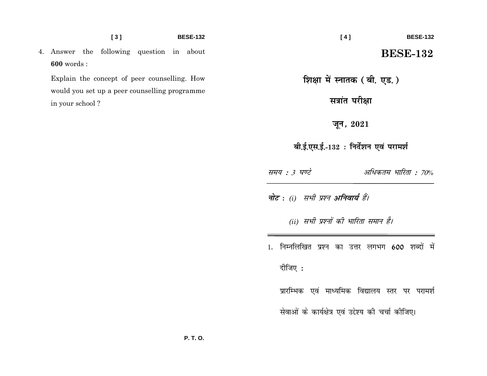4. Answer the following question in about **600** words :

Explain the concept of peer counselling. How would you set up a peer counselling programme in your school ?

 **[ 4 ] BESE-132** 

# **BESE-132**

**शिक्षा में स्नातक ( बी. एड.)** 

**Hain under** 

**twu] 2021**

बी.ई.एस.ई.-132 : निर्देशन एवं परामर्श

समय : 3 घण्टे अधिकतम भारिता : 70%

**नोट :** (i) सभी प्रश्न **अनिवार्य** हैं।

*(ii) सभी प्रश्नों की भारिता समान है।* 

1. निम्नलिखित प्रश्न का उत्तर लगभग 600 शब्दों में

दीजिए $:$ 

प्रारम्भिक एवं माध्यमिक विद्यालय स्तर पर परामर्श सेवाओं के कार्यक्षेत्र एवं उद्देश्य की चर्चा कीजिए।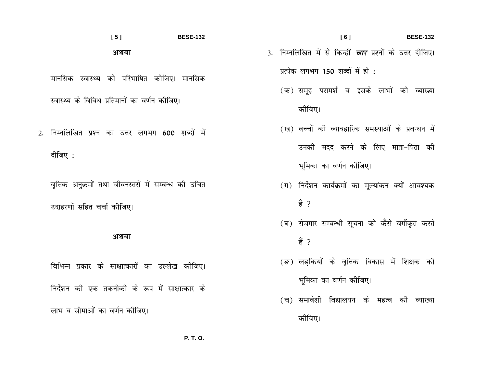$[5]$ **BESE-132** अथवा

मानसिक स्वास्थ्य को परिभाषित कीजिए। मानसिक स्वास्थ्य के विविध प्रतिमानों का वर्णन कोजिए।

2. निम्नलिखित प्रश्न का उत्तर लगभग 600 शब्दों में दीजिए :

वृत्तिक अनुक्रमों तथा जीवनस्तरों में सम्बन्ध की उचित उदाहरणों सहित चर्चा कीजिए।

### अथवा

विभिन्न प्रकार के साक्षात्कारों का उल्लेख कीजिए। निर्देशन की एक तकनीकी के रूप में साक्षात्कार के लाभ व सीमाओं का वर्णन कोजिए।

 $[6]$ 3. निम्नलिखित में से किन्हीं *चार* प्रश्नों के उत्तर दीजिए। प्रत्येक लगभग 150 शब्दों में हो :

**BESE-132** 

- (क) समह परामर्श व इसके लाभों की व्याख्या कोजिए।
- (ख) बच्चों की व्यावहारिक समस्याओं के प्रबन्धन में उनकी मदद करने के लिए माता-पिता की भूमिका का वर्णन कोजिए।
- (ग) निर्देशन कार्यक्रमों का मूल्यांकन क्यों आवश्यक ੜੇ ?
- (घ) रोजगार सम्बन्धी सूचना को कैसे वर्गीकृत करते ੜ੍ਹੇ ?
- (ङ) लड़कियों के वृत्तिक विकास में शिक्षक की भूमिका का वर्णन कोजिए।
- (च) समावेशी विद्यालयन के महत्व की व्याख्या कोजिए।